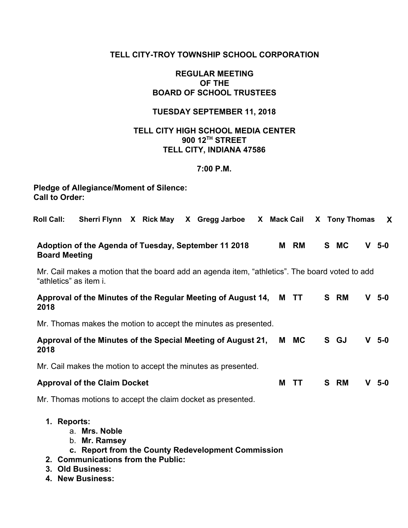## **TELL CITY-TROY TOWNSHIP SCHOOL CORPORATION**

## **REGULAR MEETING OF THE BOARD OF SCHOOL TRUSTEES**

## **TUESDAY SEPTEMBER 11, 2018**

## **TELL CITY HIGH SCHOOL MEDIA CENTER 900 12 TH STREET TELL CITY, INDIANA 47586**

### **7:00 P.M.**

# **Pledge of Allegiance/Moment of Silence: Call to Order:**

| <b>Roll Call:</b><br>Sherri Flynn X Rick May X Gregg Jarboe X Mack Cail X Tony Thomas                                    |   |      |  |      |         | X   |  |  |
|--------------------------------------------------------------------------------------------------------------------------|---|------|--|------|---------|-----|--|--|
| Adoption of the Agenda of Tuesday, September 11 2018<br><b>Board Meeting</b>                                             | M | RM   |  | S MC | $V$ 5-0 |     |  |  |
| Mr. Cail makes a motion that the board add an agenda item, "athletics". The board voted to add<br>"athletics" as item i. |   |      |  |      |         |     |  |  |
| Approval of the Minutes of the Regular Meeting of August 14,<br>2018                                                     |   | M TT |  | S RM | V       | 5-0 |  |  |
| Mr. Thomas makes the motion to accept the minutes as presented.                                                          |   |      |  |      |         |     |  |  |
| Approval of the Minutes of the Special Meeting of August 21,<br>2018                                                     |   | M MC |  | S GJ | $V$ 5-0 |     |  |  |
| Mr. Cail makes the motion to accept the minutes as presented.                                                            |   |      |  |      |         |     |  |  |
| <b>Approval of the Claim Docket</b>                                                                                      | M | TТ   |  | S RM | V       | 5-0 |  |  |
| Mr. Thomas motions to accept the claim docket as presented.                                                              |   |      |  |      |         |     |  |  |
| 1. Reports:<br>a. Mrs. Noble<br>b. Mr. Ramsey<br>c. Report from the County Redevelopment Commission                      |   |      |  |      |         |     |  |  |

- **2. Communications from the Public:**
- **3. Old Business:**
- **4. New Business:**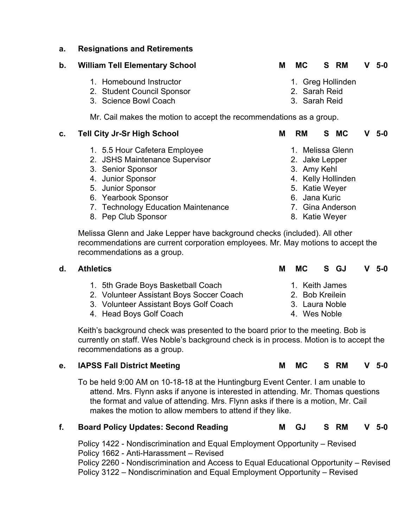### **a. Resignations and Retirements**

## **b. William Tell Elementary School M MC S RM V 5-0**

- 1. Homebound Instructor
- 2. Student Council Sponsor
- 3. Science Bowl Coach

Mr. Cail makes the motion to accept the recommendations as a group.

# **c. Tell City Jr-Sr High School M RM S MC V 5-0**

- 1. 5.5 Hour Cafetera Employee
- 2. JSHS Maintenance Supervisor
- 3. Senior Sponsor
- 4. Junior Sponsor
- 5. Junior Sponsor
- 6. Yearbook Sponsor
- 7. Technology Education Maintenance

1. 5th Grade Boys Basketball Coach

4. Head Boys Golf Coach

2. Volunteer Assistant Boys Soccer Coach 3. Volunteer Assistant Boys Golf Coach

8. Pep Club Sponsor

- 1. Greg Hollinden
- 2. Sarah Reid
- 3. Sarah Reid

- 1. Melissa Glenn
- 2. Jake Lepper
- 3. Amy Kehl
- 4. Kelly Hollinden
- 5. Katie Weyer
- 6. Jana Kuric
- 7. Gina Anderson
- 8. Katie Weyer

Melissa Glenn and Jake Lepper have background checks (included). All other recommendations are current corporation employees. Mr. May motions to accept the recommendations as a group.

| d. Athletics | MC S GJ | $V$ 5-0 |  |
|--------------|---------|---------|--|
|              |         |         |  |

- 1. Keith James
	- 2. Bob Kreilein
		- 3. Laura Noble
		-

Keith's background check was presented to the board prior to the meeting. Bob is currently on staff. Wes Noble's background check is in process. Motion is to accept the recommendations as a group.

## **e. IAPSS Fall District Meeting M MC S RM V 5-0**

To be held 9:00 AM on 10-18-18 at the Huntingburg Event Center. I am unable to attend. Mrs. Flynn asks if anyone is interested in attending. Mr. Thomas questions the format and value of attending. Mrs. Flynn asks if there is a motion, Mr. Cail makes the motion to allow members to attend if they like.

# **f. Board Policy Updates: Second Reading M GJ S RM V 5-0**

Policy 1422 - Nondiscrimination and Equal Employment Opportunity – Revised Policy 1662 - Anti-Harassment – Revised Policy 2260 - Nondiscrimination and Access to Equal Educational Opportunity – Revised Policy 3122 – Nondiscrimination and Equal Employment Opportunity – Revised

- 
- 
- - 4. Wes Noble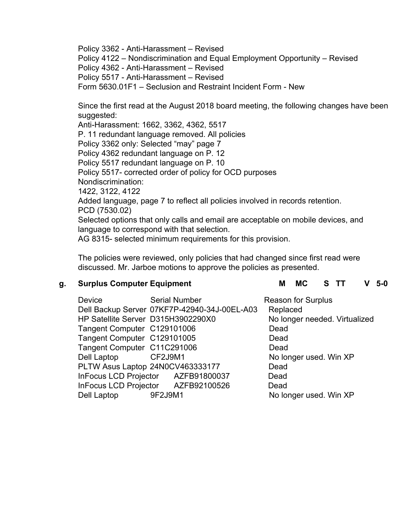Policy 3362 - Anti-Harassment – Revised Policy 4122 – Nondiscrimination and Equal Employment Opportunity – Revised Policy 4362 - Anti-Harassment – Revised Policy 5517 - Anti-Harassment – Revised Form 5630.01F1 – Seclusion and Restraint Incident Form - New

Since the first read at the August 2018 board meeting, the following changes have been suggested:

Anti-Harassment: 1662, 3362, 4362, 5517 P. 11 redundant language removed. All policies Policy 3362 only: Selected "may" page 7 Policy 4362 redundant language on P. 12 Policy 5517 redundant language on P. 10 Policy 5517- corrected order of policy for OCD purposes Nondiscrimination: 1422, 3122, 4122 Added language, page 7 to reflect all policies involved in records retention. PCD (7530.02) Selected options that only calls and email are acceptable on mobile devices, and language to correspond with that selection. AG 8315- selected minimum requirements for this provision.

The policies were reviewed, only policies that had changed since first read were discussed. Mr. Jarboe motions to approve the policies as presented.

## **g. Surplus Computer Equipment M MC S TT V 5-0**

| <b>Device</b><br>HP Satellite Server D315H3902290X0<br>Tangent Computer C129101006<br>Tangent Computer C129101005<br>Tangent Computer C11C291006<br>Dell Laptop CF2J9M1 | <b>Serial Number</b><br>Dell Backup Server 07KF7P-42940-34J-00EL-A03   | <b>Reason for Surplus</b><br>Replaced<br>No longer needed. Virtualized<br>Dead<br>Dead<br>Dead<br>No longer used. Win XP |
|-------------------------------------------------------------------------------------------------------------------------------------------------------------------------|------------------------------------------------------------------------|--------------------------------------------------------------------------------------------------------------------------|
|                                                                                                                                                                         |                                                                        |                                                                                                                          |
|                                                                                                                                                                         | PLTW Asus Laptop 24N0CV463333177<br>InFocus LCD Projector AZFB91800037 | Dead<br>Dead                                                                                                             |
| Dell Laptop 9F2J9M1                                                                                                                                                     | InFocus LCD Projector AZFB92100526                                     | Dead<br>No longer used. Win XP                                                                                           |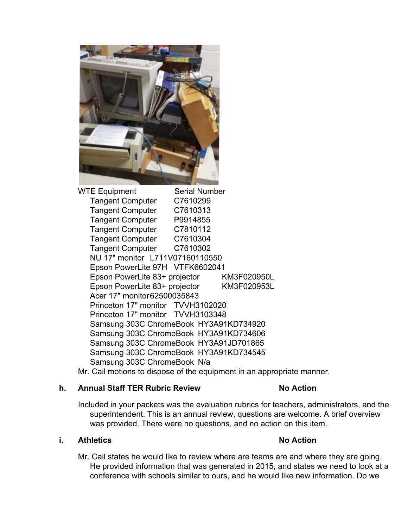

WTE Equipment Serial Number Tangent Computer C7610299 Tangent Computer C7610313 Tangent Computer P9914855 Tangent Computer C7810112 Tangent Computer C7610304 Tangent Computer C7610302 NU 17" monitor L711V07160110550 Epson PowerLite 97H VTFK6602041 Epson PowerLite 83+ projector KM3F020950L Epson PowerLite 83+ projector KM3F020953L Acer 17" monitor62500035843 Princeton 17" monitor TVVH3102020 Princeton 17" monitor TVVH3103348 Samsung 303C ChromeBook HY3A91KD734920 Samsung 303C ChromeBook HY3A91KD734606 Samsung 303C ChromeBook HY3A91JD701865 Samsung 303C ChromeBook HY3A91KD734545 Samsung 303C ChromeBook N/a

Mr. Cail motions to dispose of the equipment in an appropriate manner.

## **h. Annual Staff TER Rubric Review No Action**

Included in your packets was the evaluation rubrics for teachers, administrators, and the superintendent. This is an annual review, questions are welcome. A brief overview was provided. There were no questions, and no action on this item.

## **i. Athletics No Action**

Mr. Cail states he would like to review where are teams are and where they are going. He provided information that was generated in 2015, and states we need to look at a conference with schools similar to ours, and he would like new information. Do we